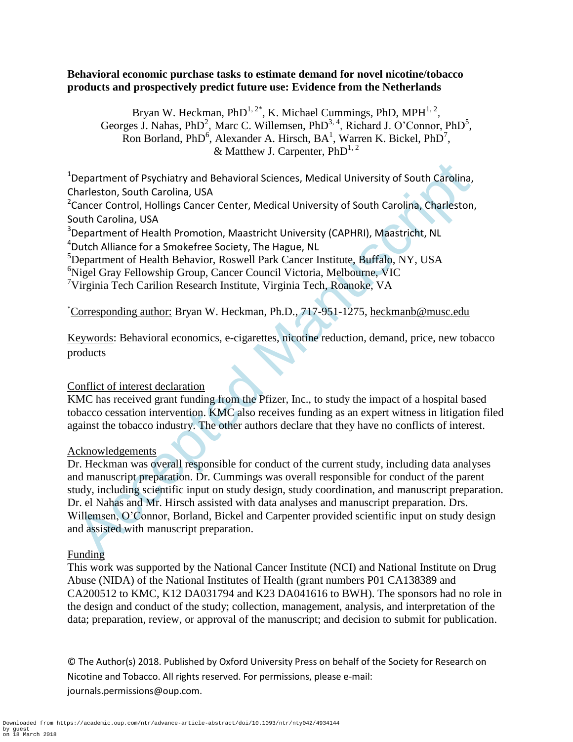## **Behavioral economic purchase tasks to estimate demand for novel nicotine/tobacco products and prospectively predict future use: Evidence from the Netherlands**

Bryan W. Heckman,  $PhD^{1,2*}$ , K. Michael Cummings, PhD, MPH $^{1,2}$ , Georges J. Nahas, PhD<sup>2</sup>, Marc C. Willemsen, PhD<sup>3, 4</sup>, Richard J. O'Connor, PhD<sup>5</sup>, Ron Borland, PhD<sup>6</sup>, Alexander A. Hirsch,  $BA^1$ , Warren K. Bickel, PhD<sup>7</sup>, & Matthew J. Carpenter,  $PhD^{1,2}$ 

<sup>1</sup>Department of Psychiatry and Behavioral Sciences, Medical University of South Carolina, Charleston, South Carolina, USA

<sup>2</sup> Cancer Control, Hollings Cancer Center, Medical University of South Carolina, Charleston, South Carolina, USA

<sup>3</sup>Department of Health Promotion, Maastricht University (CAPHRI), Maastricht, NL <sup>4</sup>Dutch Alliance for a Smokefree Society, The Hague, NL

 ${}^{5}$ Department of Health Behavior, Roswell Park Cancer Institute, Buffalo, NY, USA

<sup>6</sup>Nigel Gray Fellowship Group, Cancer Council Victoria, Melbourne, VIC

<sup>7</sup>Virginia Tech Carilion Research Institute, Virginia Tech, Roanoke, VA

\*Corresponding author: Bryan W. Heckman, Ph.D., 717-951-1275, heckmanb@musc.edu

Keywords: Behavioral economics, e-cigarettes, nicotine reduction, demand, price, new tobacco products

# Conflict of interest declaration

KMC has received grant funding from the Pfizer, Inc., to study the impact of a hospital based tobacco cessation intervention. KMC also receives funding as an expert witness in litigation filed against the tobacco industry. The other authors declare that they have no conflicts of interest.

# Acknowledgements

Department of Psychiatry and Behavioral Sciences, Medical University of South Carolina,<br>harleston, South Carolina, USA<br>Cancer Control, Holdings Cancer Center, Medical University of South Carolina, Charleston,<br>couth Carolin Dr. Heckman was overall responsible for conduct of the current study, including data analyses and manuscript preparation. Dr. Cummings was overall responsible for conduct of the parent study, including scientific input on study design, study coordination, and manuscript preparation. Dr. el Nahas and Mr. Hirsch assisted with data analyses and manuscript preparation. Drs. Willemsen, O'Connor, Borland, Bickel and Carpenter provided scientific input on study design and assisted with manuscript preparation.

# Funding

This work was supported by the National Cancer Institute (NCI) and National Institute on Drug Abuse (NIDA) of the National Institutes of Health (grant numbers P01 CA138389 and CA200512 to KMC, K12 DA031794 and K23 DA041616 to BWH). The sponsors had no role in the design and conduct of the study; collection, management, analysis, and interpretation of the data; preparation, review, or approval of the manuscript; and decision to submit for publication.

© The Author(s) 2018. Published by Oxford University Press on behalf of the Society for Research on Nicotine and Tobacco. All rights reserved. For permissions, please e-mail: journals.permissions@oup.com.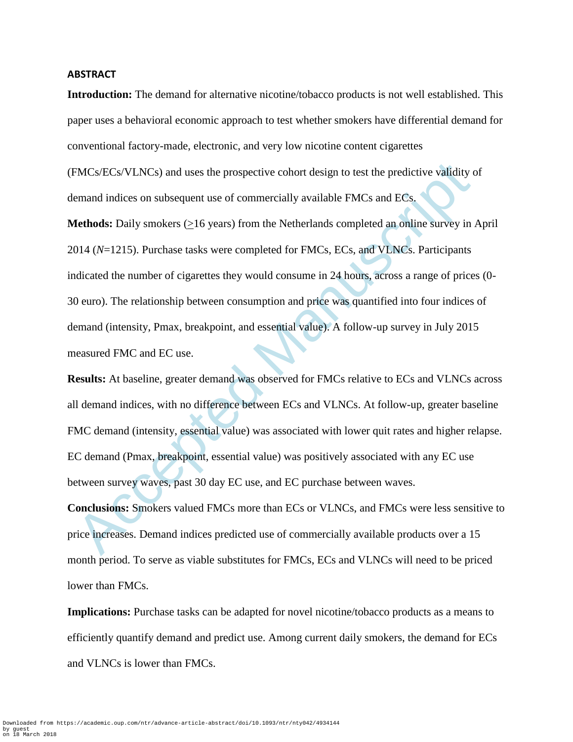#### **ABSTRACT**

**Introduction:** The demand for alternative nicotine/tobacco products is not well established. This paper uses a behavioral economic approach to test whether smokers have differential demand for conventional factory-made, electronic, and very low nicotine content cigarettes

(FMCs/ECs/VLNCs) and uses the prospective cohort design to test the predictive validity of demand indices on subsequent use of commercially available FMCs and ECs.

FMCs/ECs/VLNCs) and uses the prospective cohort design to test the predictive validity c<br>emand indices on subsequent use of commercially available FMCs and ECs.<br>**4cthods:** Daily smokers ( $\geq$ 16 years) from the Netherland **Methods:** Daily smokers (>16 years) from the Netherlands completed an online survey in April 2014 (*N*=1215). Purchase tasks were completed for FMCs, ECs, and VLNCs. Participants indicated the number of cigarettes they would consume in 24 hours, across a range of prices (0- 30 euro). The relationship between consumption and price was quantified into four indices of demand (intensity, Pmax, breakpoint, and essential value). A follow-up survey in July 2015 measured FMC and EC use.

**Results:** At baseline, greater demand was observed for FMCs relative to ECs and VLNCs across all demand indices, with no difference between ECs and VLNCs. At follow-up, greater baseline FMC demand (intensity, essential value) was associated with lower quit rates and higher relapse. EC demand (Pmax, breakpoint, essential value) was positively associated with any EC use between survey waves, past 30 day EC use, and EC purchase between waves.

**Conclusions:** Smokers valued FMCs more than ECs or VLNCs, and FMCs were less sensitive to price increases. Demand indices predicted use of commercially available products over a 15 month period. To serve as viable substitutes for FMCs, ECs and VLNCs will need to be priced lower than FMCs.

**Implications:** Purchase tasks can be adapted for novel nicotine/tobacco products as a means to efficiently quantify demand and predict use. Among current daily smokers, the demand for ECs and VLNCs is lower than FMCs.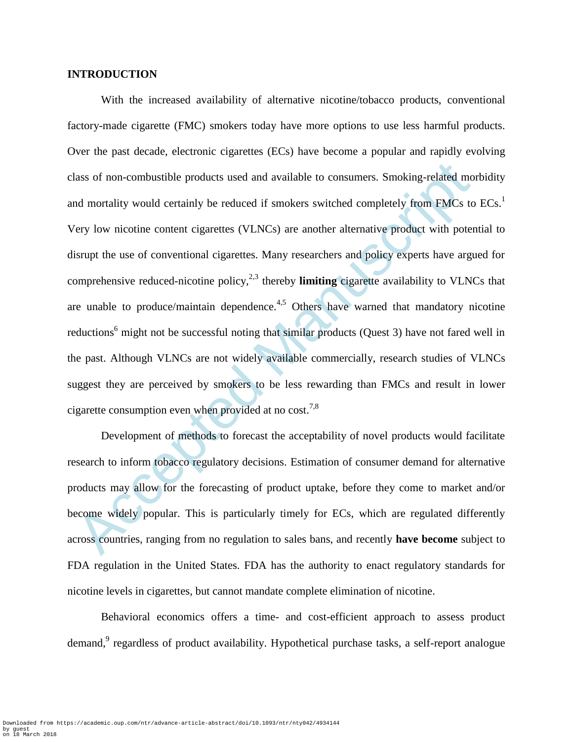### **INTRODUCTION**

lass of non-combustible products used and available to consumers. Smoking-related mot mortality would certainly be reduced if smokers switched completely from FMCs to<br>rery low nicotine content cigarettes (VLNCs) are anothe With the increased availability of alternative nicotine/tobacco products, conventional factory-made cigarette (FMC) smokers today have more options to use less harmful products. Over the past decade, electronic cigarettes (ECs) have become a popular and rapidly evolving class of non-combustible products used and available to consumers. Smoking-related morbidity and mortality would certainly be reduced if smokers switched completely from FMCs to ECs.<sup>1</sup> Very low nicotine content cigarettes (VLNCs) are another alternative product with potential to disrupt the use of conventional cigarettes. Many researchers and policy experts have argued for comprehensive reduced-nicotine policy,<sup>2,3</sup> thereby **limiting** cigarette availability to VLNCs that are unable to produce/maintain dependence.<sup>4,5</sup> Others have warned that mandatory nicotine reductions<sup>6</sup> might not be successful noting that similar products (Quest 3) have not fared well in the past. Although VLNCs are not widely available commercially, research studies of VLNCs suggest they are perceived by smokers to be less rewarding than FMCs and result in lower cigarette consumption even when provided at no cost.<sup>7,8</sup>

Development of methods to forecast the acceptability of novel products would facilitate research to inform tobacco regulatory decisions. Estimation of consumer demand for alternative products may allow for the forecasting of product uptake, before they come to market and/or become widely popular. This is particularly timely for ECs, which are regulated differently across countries, ranging from no regulation to sales bans, and recently **have become** subject to FDA regulation in the United States. FDA has the authority to enact regulatory standards for nicotine levels in cigarettes, but cannot mandate complete elimination of nicotine.

Behavioral economics offers a time- and cost-efficient approach to assess product demand,<sup>9</sup> regardless of product availability. Hypothetical purchase tasks, a self-report analogue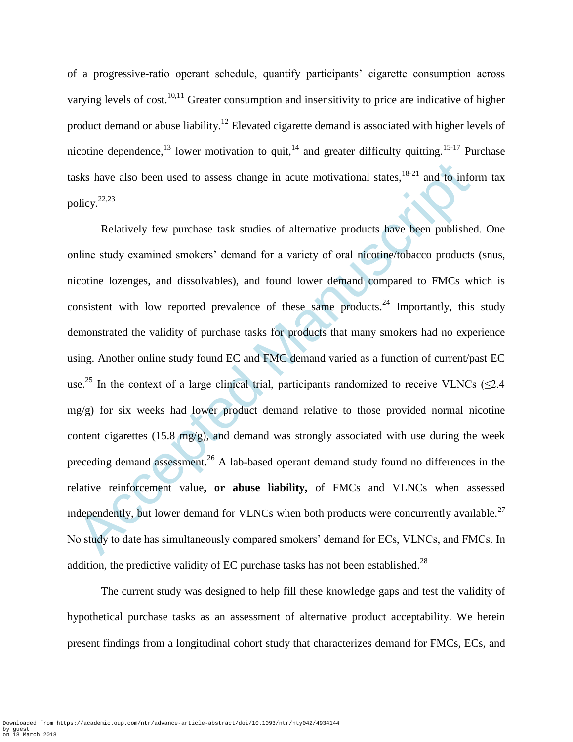of a progressive-ratio operant schedule, quantify participants' cigarette consumption across varying levels of cost.<sup>10,11</sup> Greater consumption and insensitivity to price are indicative of higher product demand or abuse liability.<sup>12</sup> Elevated cigarette demand is associated with higher levels of nicotine dependence,<sup>13</sup> lower motivation to quit,<sup>14</sup> and greater difficulty quitting.<sup>15-17</sup> Purchase tasks have also been used to assess change in acute motivational states,  $18-21$  and to inform tax policy.22,23

sks have also been used to assess change in acute motivational states,<sup>18,21</sup> and to info<br>olicy,<sup>22,23</sup><br>Relatively few purchase task studies of alternative products have been published<br>nline study examined smokers' demand Relatively few purchase task studies of alternative products have been published. One online study examined smokers' demand for a variety of oral nicotine/tobacco products (snus, nicotine lozenges, and dissolvables), and found lower demand compared to FMCs which is consistent with low reported prevalence of these same products.<sup>24</sup> Importantly, this study demonstrated the validity of purchase tasks for products that many smokers had no experience using. Another online study found EC and FMC demand varied as a function of current/past EC use.<sup>25</sup> In the context of a large clinical trial, participants randomized to receive VLNCs ( $\leq$ 2.4 mg/g) for six weeks had lower product demand relative to those provided normal nicotine content cigarettes (15.8 mg/g), and demand was strongly associated with use during the week preceding demand assessment.<sup>26</sup> A lab-based operant demand study found no differences in the relative reinforcement value**, or abuse liability,** of FMCs and VLNCs when assessed independently, but lower demand for VLNCs when both products were concurrently available.<sup>27</sup> No study to date has simultaneously compared smokers' demand for ECs, VLNCs, and FMCs. In addition, the predictive validity of EC purchase tasks has not been established.<sup>28</sup>

The current study was designed to help fill these knowledge gaps and test the validity of hypothetical purchase tasks as an assessment of alternative product acceptability. We herein present findings from a longitudinal cohort study that characterizes demand for FMCs, ECs, and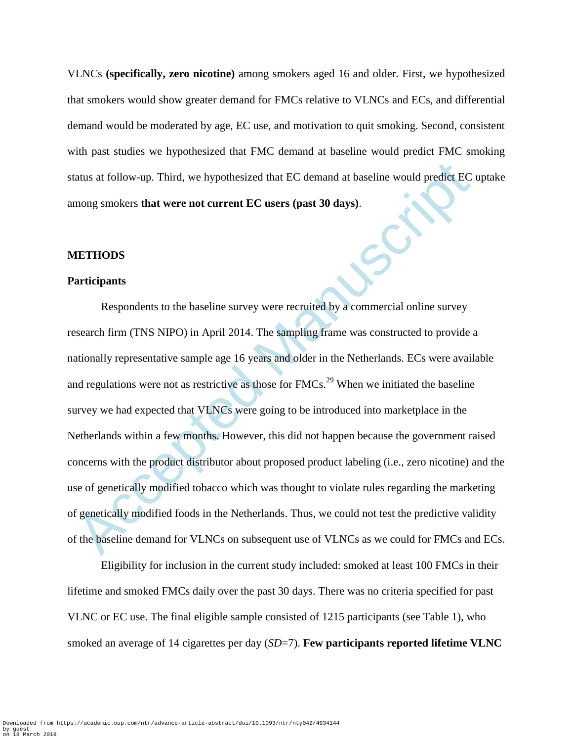VLNCs **(specifically, zero nicotine)** among smokers aged 16 and older. First, we hypothesized that smokers would show greater demand for FMCs relative to VLNCs and ECs, and differential demand would be moderated by age, EC use, and motivation to quit smoking. Second, consistent with past studies we hypothesized that FMC demand at baseline would predict FMC smoking status at follow-up. Third, we hypothesized that EC demand at baseline would predict EC uptake among smokers **that were not current EC users (past 30 days)**.

#### **METHODS**

#### **Participants**

tatus at follow-up. Third, we hypothesized that EC demand at baseline would predict EC<br>mong smokers that were not current EC users (past 30 days).<br>
METHODS<br>
METHODS<br>
Accepted Manuscriptic SNIPO) in April 2014. The sampling Respondents to the baseline survey were recruited by a commercial online survey research firm (TNS NIPO) in April 2014. The sampling frame was constructed to provide a nationally representative sample age 16 years and older in the Netherlands. ECs were available and regulations were not as restrictive as those for FMCs.<sup>29</sup> When we initiated the baseline survey we had expected that VLNCs were going to be introduced into marketplace in the Netherlands within a few months. However, this did not happen because the government raised concerns with the product distributor about proposed product labeling (i.e., zero nicotine) and the use of genetically modified tobacco which was thought to violate rules regarding the marketing of genetically modified foods in the Netherlands. Thus, we could not test the predictive validity of the baseline demand for VLNCs on subsequent use of VLNCs as we could for FMCs and ECs.

Eligibility for inclusion in the current study included: smoked at least 100 FMCs in their lifetime and smoked FMCs daily over the past 30 days. There was no criteria specified for past VLNC or EC use. The final eligible sample consisted of 1215 participants (see Table 1), who smoked an average of 14 cigarettes per day (*SD*=7). **Few participants reported lifetime VLNC**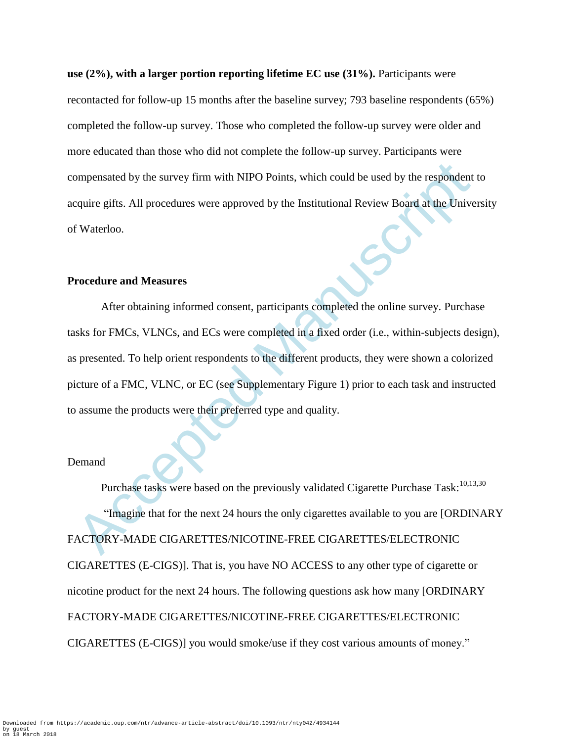**use (2%), with a larger portion reporting lifetime EC use (31%).** Participants were recontacted for follow-up 15 months after the baseline survey; 793 baseline respondents (65%) completed the follow-up survey. Those who completed the follow-up survey were older and more educated than those who did not complete the follow-up survey. Participants were compensated by the survey firm with NIPO Points, which could be used by the respondent to acquire gifts. All procedures were approved by the Institutional Review Board at the University of Waterloo.

## **Procedure and Measures**

ompensated by the survey firm with NIPO Points, which could be used by the respondent<br>equire gifts. All procedures were approved by the Institutional Review Board at the Unive<br>f Waterloo.<br>Mare incorded Manuscriptions of Wa After obtaining informed consent, participants completed the online survey. Purchase tasks for FMCs, VLNCs, and ECs were completed in a fixed order (i.e., within-subjects design), as presented. To help orient respondents to the different products, they were shown a colorized picture of a FMC, VLNC, or EC (see Supplementary Figure 1) prior to each task and instructed to assume the products were their preferred type and quality.

### Demand

Purchase tasks were based on the previously validated Cigarette Purchase Task:<sup>10,13,30</sup> "Imagine that for the next 24 hours the only cigarettes available to you are [ORDINARY FACTORY-MADE CIGARETTES/NICOTINE-FREE CIGARETTES/ELECTRONIC CIGARETTES (E-CIGS)]. That is, you have NO ACCESS to any other type of cigarette or nicotine product for the next 24 hours. The following questions ask how many [ORDINARY FACTORY-MADE CIGARETTES/NICOTINE-FREE CIGARETTES/ELECTRONIC CIGARETTES (E-CIGS)] you would smoke/use if they cost various amounts of money."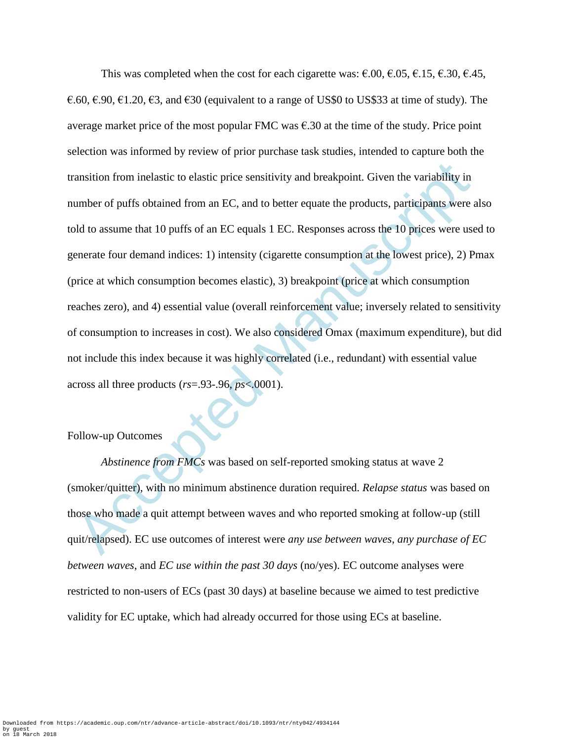ansition from inelastic to elastic price sensitivity and breakpoint. Given the variability in<br>unber of puffs obtained from an EC, and to better equate the products, participants were as<br>bld to assume that 10 puffs of an E This was completed when the cost for each cigarette was:  $\epsilon$ .00,  $\epsilon$ .05,  $\epsilon$ .15,  $\epsilon$ .30,  $\epsilon$ .45, €.60, €.90, €1.20, €3, and €30 (equivalent to a range of US\$0 to US\$33 at time of study). The average market price of the most popular FMC was  $\epsilon$ .30 at the time of the study. Price point selection was informed by review of prior purchase task studies, intended to capture both the transition from inelastic to elastic price sensitivity and breakpoint. Given the variability in number of puffs obtained from an EC, and to better equate the products, participants were also told to assume that 10 puffs of an EC equals 1 EC. Responses across the 10 prices were used to generate four demand indices: 1) intensity (cigarette consumption at the lowest price), 2) Pmax (price at which consumption becomes elastic), 3) breakpoint (price at which consumption reaches zero), and 4) essential value (overall reinforcement value; inversely related to sensitivity of consumption to increases in cost). We also considered Omax (maximum expenditure), but did not include this index because it was highly correlated (i.e., redundant) with essential value across all three products (*rs*=.93-.96, *ps*<.0001).

#### Follow-up Outcomes

*Abstinence from FMCs* was based on self-reported smoking status at wave 2 (smoker/quitter), with no minimum abstinence duration required. *Relapse status* was based on those who made a quit attempt between waves and who reported smoking at follow-up (still quit/relapsed). EC use outcomes of interest were *any use between waves*, *any purchase of EC between waves*, and *EC use within the past 30 days* (no/yes). EC outcome analyses were restricted to non-users of ECs (past 30 days) at baseline because we aimed to test predictive validity for EC uptake, which had already occurred for those using ECs at baseline.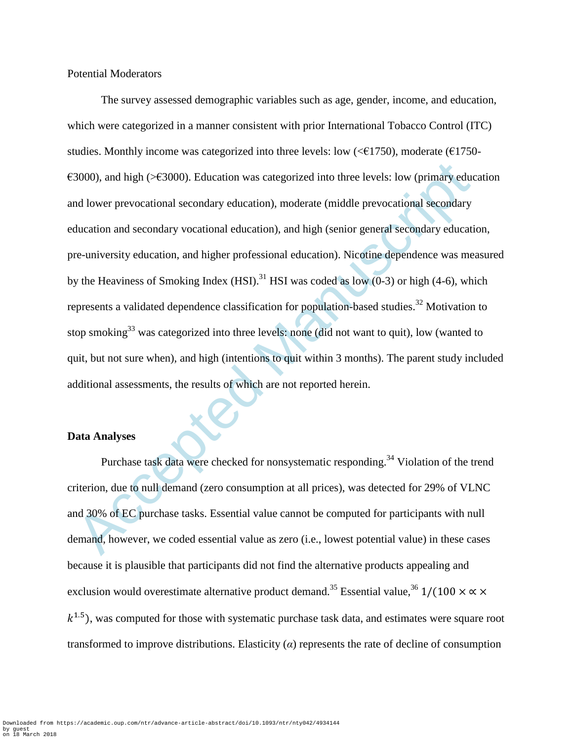Potential Moderators

3000), and high (>C3000). Education was categorized into three levels: low (primary educed Manuscription) are dialogued at the divergence of middle prevocational secondary ducation, and hight (senior general secondary edu The survey assessed demographic variables such as age, gender, income, and education, which were categorized in a manner consistent with prior International Tobacco Control (ITC) studies. Monthly income was categorized into three levels: low ( $\leq$  £1750), moderate ( $\leq$  1750- $\epsilon$ 3000), and high (> $\epsilon$ 3000). Education was categorized into three levels: low (primary education and lower prevocational secondary education), moderate (middle prevocational secondary education and secondary vocational education), and high (senior general secondary education, pre-university education, and higher professional education). Nicotine dependence was measured by the Heaviness of Smoking Index  $(HSI)$ .<sup>31</sup> HSI was coded as low  $(0-3)$  or high (4-6), which represents a validated dependence classification for population-based studies.<sup>32</sup> Motivation to stop smoking<sup>33</sup> was categorized into three levels: none (did not want to quit), low (wanted to quit, but not sure when), and high (intentions to quit within 3 months). The parent study included additional assessments, the results of which are not reported herein.

#### **Data Analyses**

Purchase task data were checked for nonsystematic responding.<sup>34</sup> Violation of the trend criterion, due to null demand (zero consumption at all prices), was detected for 29% of VLNC and 30% of EC purchase tasks. Essential value cannot be computed for participants with null demand, however, we coded essential value as zero (i.e., lowest potential value) in these cases because it is plausible that participants did not find the alternative products appealing and exclusion would overestimate alternative product demand.<sup>35</sup> Essential value, <sup>36</sup> 1/(100  $\times \propto \times$  $(k^{1.5})$ , was computed for those with systematic purchase task data, and estimates were square root transformed to improve distributions. Elasticity  $\alpha$  represents the rate of decline of consumption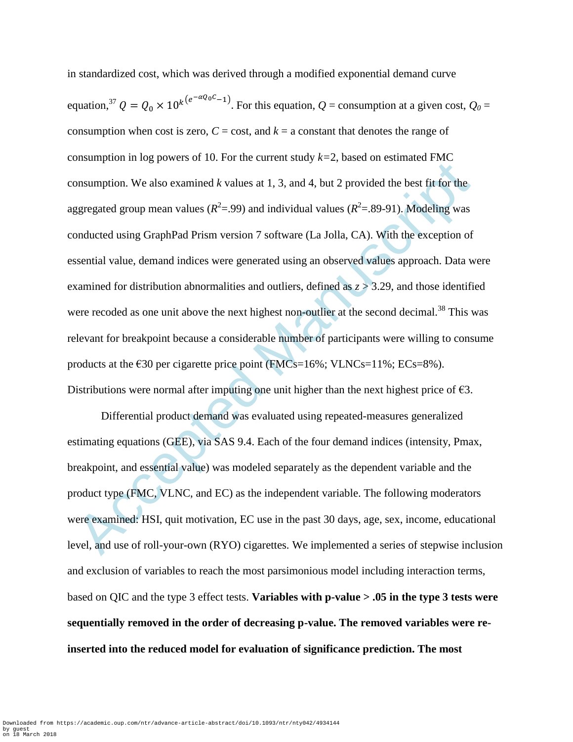Ensumption. In eg power of 10.13 of the cantent statey  $x = 1$  elseve of elementative rine<br>
onsumption. We also examined k values at 1, 3, and 4, but 2 provided the best fit for the<br>
ggregated group mean values  $(R^2=99)$  a in standardized cost, which was derived through a modified exponential demand curve equation,<sup>37</sup>  $Q = Q_0 \times 10^{k(e^{-\alpha Q_0 C}-1)}$ . For this equation,  $Q$  = consumption at a given cost,  $Q_0$  = consumption when cost is zero,  $C = \text{cost}$ , and  $k = \text{a constant}$  that denotes the range of consumption in log powers of 10. For the current study  $k=2$ , based on estimated FMC consumption. We also examined *k* values at 1, 3, and 4, but 2 provided the best fit for the aggregated group mean values ( $R^2 = 0.99$ ) and individual values ( $R^2 = 0.89 - 91$ ). Modeling was conducted using GraphPad Prism version 7 software (La Jolla, CA). With the exception of essential value, demand indices were generated using an observed values approach. Data were examined for distribution abnormalities and outliers, defined as *z* > 3.29, and those identified were recoded as one unit above the next highest non-outlier at the second decimal.<sup>38</sup> This was relevant for breakpoint because a considerable number of participants were willing to consume products at the  $\epsilon$ 30 per cigarette price point (FMCs=16%; VLNCs=11%; ECs=8%). Distributions were normal after imputing one unit higher than the next highest price of  $\epsilon$ 3.

Differential product demand was evaluated using repeated-measures generalized estimating equations (GEE), via SAS 9.4. Each of the four demand indices (intensity, Pmax, breakpoint, and essential value) was modeled separately as the dependent variable and the product type (FMC, VLNC, and EC) as the independent variable. The following moderators were examined: HSI, quit motivation, EC use in the past 30 days, age, sex, income, educational level, and use of roll-your-own (RYO) cigarettes. We implemented a series of stepwise inclusion and exclusion of variables to reach the most parsimonious model including interaction terms, based on QIC and the type 3 effect tests. **Variables with p-value > .05 in the type 3 tests were sequentially removed in the order of decreasing p-value. The removed variables were reinserted into the reduced model for evaluation of significance prediction. The most**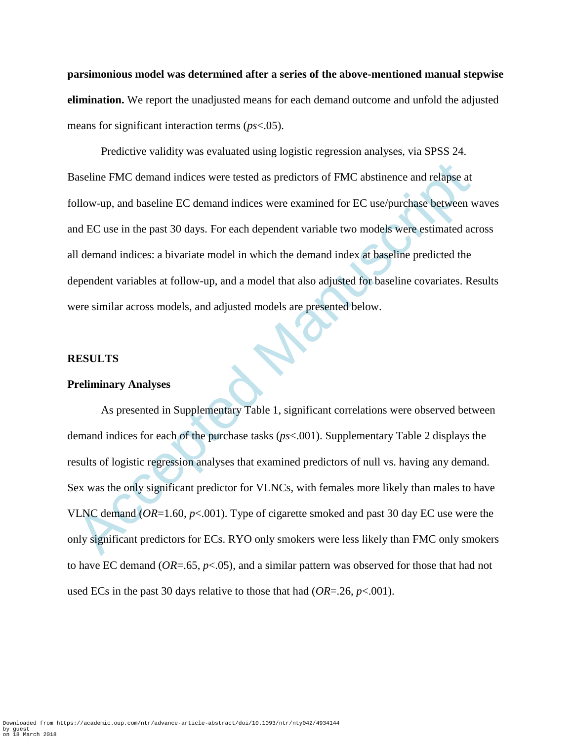**parsimonious model was determined after a series of the above-mentioned manual stepwise elimination.** We report the unadjusted means for each demand outcome and unfold the adjusted means for significant interaction terms (*ps*<.05).

aseline FMC demand indices were tested as predictors of FMC abstinence and relapse at<br>pllow-up, and baseline EC demand indices were examined for EC use/purchase between w<br>d EC use in the past 30 days. For each dependent v Predictive validity was evaluated using logistic regression analyses, via SPSS 24. Baseline FMC demand indices were tested as predictors of FMC abstinence and relapse at follow-up, and baseline EC demand indices were examined for EC use/purchase between waves and EC use in the past 30 days. For each dependent variable two models were estimated across all demand indices: a bivariate model in which the demand index at baseline predicted the dependent variables at follow-up, and a model that also adjusted for baseline covariates. Results were similar across models, and adjusted models are presented below.

### **RESULTS**

#### **Preliminary Analyses**

As presented in Supplementary Table 1, significant correlations were observed between demand indices for each of the purchase tasks (*ps*<.001). Supplementary Table 2 displays the results of logistic regression analyses that examined predictors of null vs. having any demand. Sex was the only significant predictor for VLNCs, with females more likely than males to have VLNC demand (*OR*=1.60, *p*<.001). Type of cigarette smoked and past 30 day EC use were the only significant predictors for ECs. RYO only smokers were less likely than FMC only smokers to have EC demand (*OR*=.65, *p*<.05), and a similar pattern was observed for those that had not used ECs in the past 30 days relative to those that had (*OR*=.26, *p*<.001).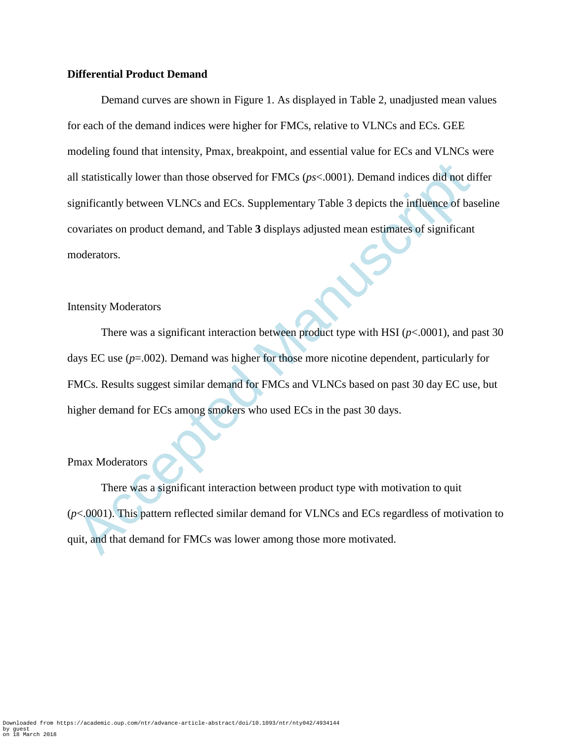### **Differential Product Demand**

II statistically lower than those observed for FMCs ( $ps<0001$ ). Demand indices did not dignificantly between VLNCs and ECs. Supplementary Table 3 depicts the influence of base<br>ovariates on product demand, and Table 3 dis Demand curves are shown in Figure 1. As displayed in Table 2, unadjusted mean values for each of the demand indices were higher for FMCs, relative to VLNCs and ECs. GEE modeling found that intensity, Pmax, breakpoint, and essential value for ECs and VLNCs were all statistically lower than those observed for FMCs (*ps*<.0001). Demand indices did not differ significantly between VLNCs and ECs. Supplementary Table 3 depicts the influence of baseline covariates on product demand, and Table **3** displays adjusted mean estimates of significant moderators.

## Intensity Moderators

There was a significant interaction between product type with HSI ( $p$ <.0001), and past 30 days EC use (*p*=.002). Demand was higher for those more nicotine dependent, particularly for FMCs. Results suggest similar demand for FMCs and VLNCs based on past 30 day EC use, but higher demand for ECs among smokers who used ECs in the past 30 days.

## Pmax Moderators

There was a significant interaction between product type with motivation to quit (*p*<.0001). This pattern reflected similar demand for VLNCs and ECs regardless of motivation to quit, and that demand for FMCs was lower among those more motivated.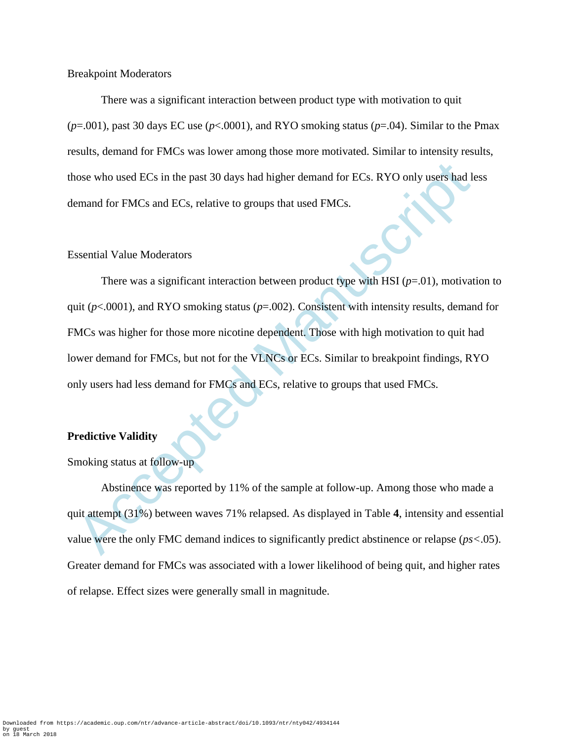Breakpoint Moderators

There was a significant interaction between product type with motivation to quit  $(p=0.001)$ , past 30 days EC use  $(p<0.0001)$ , and RYO smoking status  $(p=0.04)$ . Similar to the Pmax results, demand for FMCs was lower among those more motivated. Similar to intensity results, those who used ECs in the past 30 days had higher demand for ECs. RYO only users had less demand for FMCs and ECs, relative to groups that used FMCs.

### Essential Value Moderators

nose who used ECs in the past 30 days had higher demand for ECs. RYO only users had lemand for FMCs and ECs, relative to groups that used FMCs.<br>
ssential Value Moderators<br>
There was a significant interaction between produc There was a significant interaction between product type with HSI  $(p=.01)$ , motivation to quit (*p*<.0001), and RYO smoking status (*p*=.002). Consistent with intensity results, demand for FMCs was higher for those more nicotine dependent. Those with high motivation to quit had lower demand for FMCs, but not for the VLNCs or ECs. Similar to breakpoint findings, RYO only users had less demand for FMCs and ECs, relative to groups that used FMCs.

#### **Predictive Validity**

Smoking status at follow-up

Abstinence was reported by 11% of the sample at follow-up. Among those who made a quit attempt (31%) between waves 71% relapsed. As displayed in Table **4**, intensity and essential value were the only FMC demand indices to significantly predict abstinence or relapse (*ps<*.05). Greater demand for FMCs was associated with a lower likelihood of being quit, and higher rates of relapse. Effect sizes were generally small in magnitude.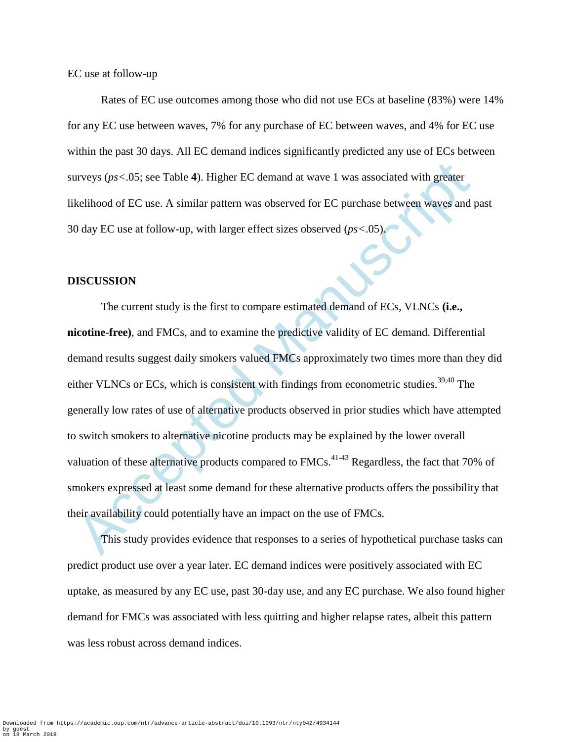EC use at follow-up

Rates of EC use outcomes among those who did not use ECs at baseline (83%) were 14% for any EC use between waves, 7% for any purchase of EC between waves, and 4% for EC use within the past 30 days. All EC demand indices significantly predicted any use of ECs between surveys (*ps<*.05; see Table **4**). Higher EC demand at wave 1 was associated with greater likelihood of EC use. A similar pattern was observed for EC purchase between waves and past 30 day EC use at follow-up, with larger effect sizes observed (*ps<*.05).

#### **DISCUSSION**

urveys ( $ps<0.05$ ; see Table 4). Higher EC demand at wave 1 was associated with greater<br>kelihood of EC use. A similar pattern was observed for EC purchase between waves and J<br>olay EC use at follow-up, with larger effect s The current study is the first to compare estimated demand of ECs, VLNCs **(i.e., nicotine-free)**, and FMCs, and to examine the predictive validity of EC demand. Differential demand results suggest daily smokers valued FMCs approximately two times more than they did either VLNCs or ECs, which is consistent with findings from econometric studies.<sup>39,40</sup> The generally low rates of use of alternative products observed in prior studies which have attempted to switch smokers to alternative nicotine products may be explained by the lower overall valuation of these alternative products compared to  $FMCs$ <sup>41-43</sup> Regardless, the fact that 70% of smokers expressed at least some demand for these alternative products offers the possibility that their availability could potentially have an impact on the use of FMCs.

This study provides evidence that responses to a series of hypothetical purchase tasks can predict product use over a year later. EC demand indices were positively associated with EC uptake, as measured by any EC use, past 30-day use, and any EC purchase. We also found higher demand for FMCs was associated with less quitting and higher relapse rates, albeit this pattern was less robust across demand indices.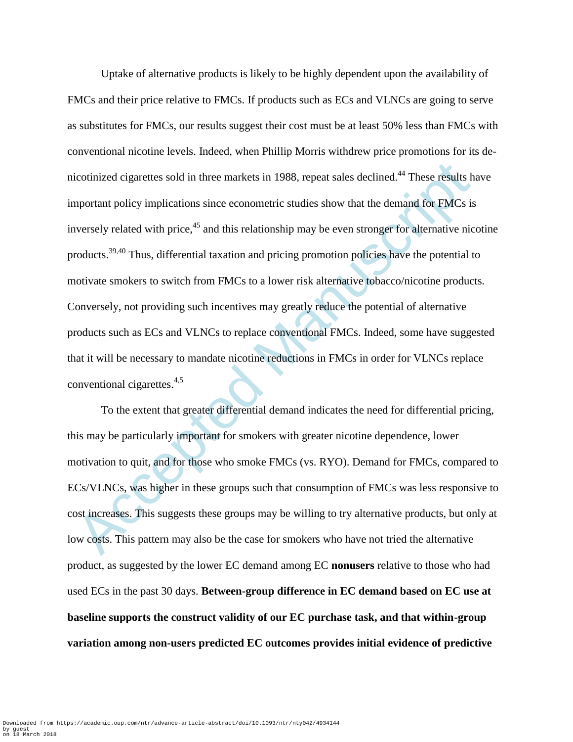icotinized cigarettes sold in three markets in 1988, repeat sales declined.<sup>44</sup> These results h<br>aportant policy implications since econometric studies show that the demand for FMCs is<br>aportant policy implications since eco Uptake of alternative products is likely to be highly dependent upon the availability of FMCs and their price relative to FMCs. If products such as ECs and VLNCs are going to serve as substitutes for FMCs, our results suggest their cost must be at least 50% less than FMCs with conventional nicotine levels. Indeed, when Phillip Morris withdrew price promotions for its denicotinized cigarettes sold in three markets in 1988, repeat sales declined.<sup>44</sup> These results have important policy implications since econometric studies show that the demand for FMCs is inversely related with price, $45$  and this relationship may be even stronger for alternative nicotine products.<sup>39,40</sup> Thus, differential taxation and pricing promotion policies have the potential to motivate smokers to switch from FMCs to a lower risk alternative tobacco/nicotine products. Conversely, not providing such incentives may greatly reduce the potential of alternative products such as ECs and VLNCs to replace conventional FMCs. Indeed, some have suggested that it will be necessary to mandate nicotine reductions in FMCs in order for VLNCs replace conventional cigarettes.4,5

To the extent that greater differential demand indicates the need for differential pricing, this may be particularly important for smokers with greater nicotine dependence, lower motivation to quit, and for those who smoke FMCs (vs. RYO). Demand for FMCs, compared to ECs/VLNCs, was higher in these groups such that consumption of FMCs was less responsive to cost increases. This suggests these groups may be willing to try alternative products, but only at low costs. This pattern may also be the case for smokers who have not tried the alternative product, as suggested by the lower EC demand among EC **nonusers** relative to those who had used ECs in the past 30 days. **Between-group difference in EC demand based on EC use at baseline supports the construct validity of our EC purchase task, and that within-group variation among non-users predicted EC outcomes provides initial evidence of predictive**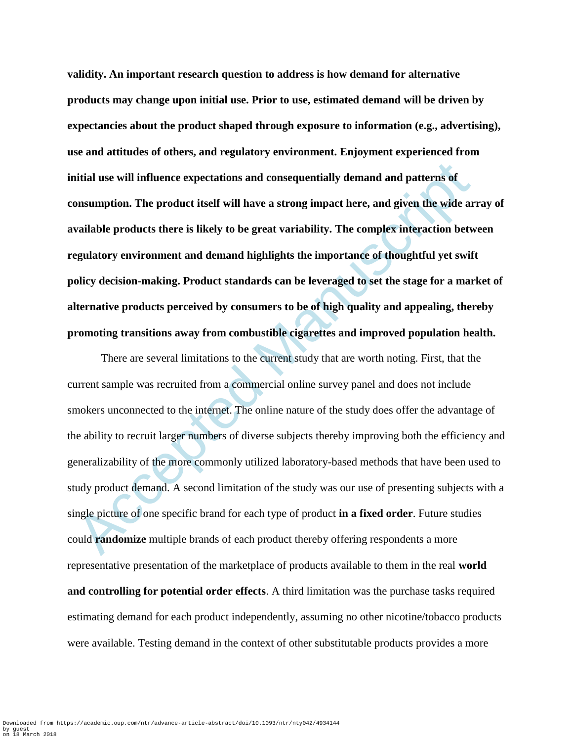**validity. An important research question to address is how demand for alternative products may change upon initial use. Prior to use, estimated demand will be driven by expectancies about the product shaped through exposure to information (e.g., advertising), use and attitudes of others, and regulatory environment. Enjoyment experienced from initial use will influence expectations and consequentially demand and patterns of consumption. The product itself will have a strong impact here, and given the wide array of available products there is likely to be great variability. The complex interaction between regulatory environment and demand highlights the importance of thoughtful yet swift policy decision-making. Product standards can be leveraged to set the stage for a market of alternative products perceived by consumers to be of high quality and appealing, thereby promoting transitions away from combustible cigarettes and improved population health.**

istial use will influence expectations and consequentially demand and patterns of<br>onsumption. The product itself will have a strong impact here, and given the wide ar<br>vailable products there is likely to be great variabili There are several limitations to the current study that are worth noting. First, that the current sample was recruited from a commercial online survey panel and does not include smokers unconnected to the internet. The online nature of the study does offer the advantage of the ability to recruit larger numbers of diverse subjects thereby improving both the efficiency and generalizability of the more commonly utilized laboratory-based methods that have been used to study product demand. A second limitation of the study was our use of presenting subjects with a single picture of one specific brand for each type of product **in a fixed order**. Future studies could **randomize** multiple brands of each product thereby offering respondents a more representative presentation of the marketplace of products available to them in the real **world and controlling for potential order effects**. A third limitation was the purchase tasks required estimating demand for each product independently, assuming no other nicotine/tobacco products were available. Testing demand in the context of other substitutable products provides a more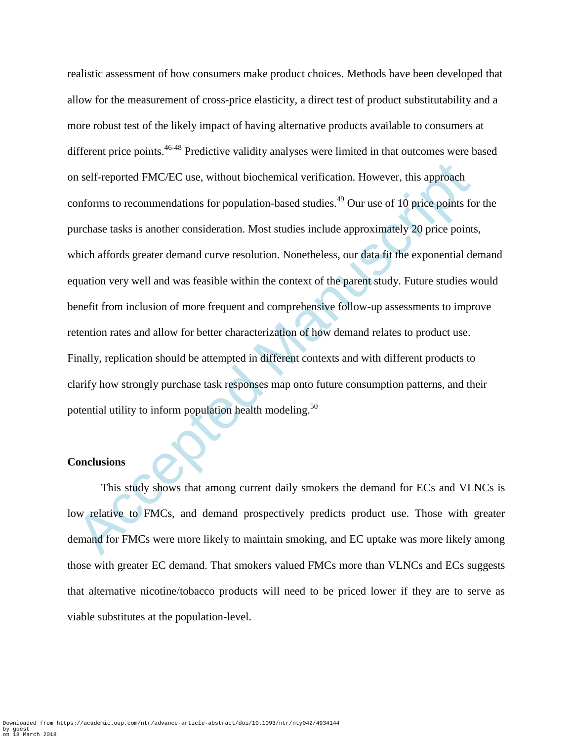m self-reported FMC/EC use, without biochemical verification. However, this approach<br>onforms to recommendations for population-based studies.<sup>49</sup> Our use of 10 price points fo<br>urchase tasks is another consideration. Most s realistic assessment of how consumers make product choices. Methods have been developed that allow for the measurement of cross-price elasticity, a direct test of product substitutability and a more robust test of the likely impact of having alternative products available to consumers at different price points.<sup>46-48</sup> Predictive validity analyses were limited in that outcomes were based on self-reported FMC/EC use, without biochemical verification. However, this approach conforms to recommendations for population-based studies.<sup>49</sup> Our use of 10 price points for the purchase tasks is another consideration. Most studies include approximately 20 price points, which affords greater demand curve resolution. Nonetheless, our data fit the exponential demand equation very well and was feasible within the context of the parent study. Future studies would benefit from inclusion of more frequent and comprehensive follow-up assessments to improve retention rates and allow for better characterization of how demand relates to product use. Finally, replication should be attempted in different contexts and with different products to clarify how strongly purchase task responses map onto future consumption patterns, and their potential utility to inform population health modeling.<sup>50</sup>

#### **Conclusions**

This study shows that among current daily smokers the demand for ECs and VLNCs is low relative to FMCs, and demand prospectively predicts product use. Those with greater demand for FMCs were more likely to maintain smoking, and EC uptake was more likely among those with greater EC demand. That smokers valued FMCs more than VLNCs and ECs suggests that alternative nicotine/tobacco products will need to be priced lower if they are to serve as viable substitutes at the population-level.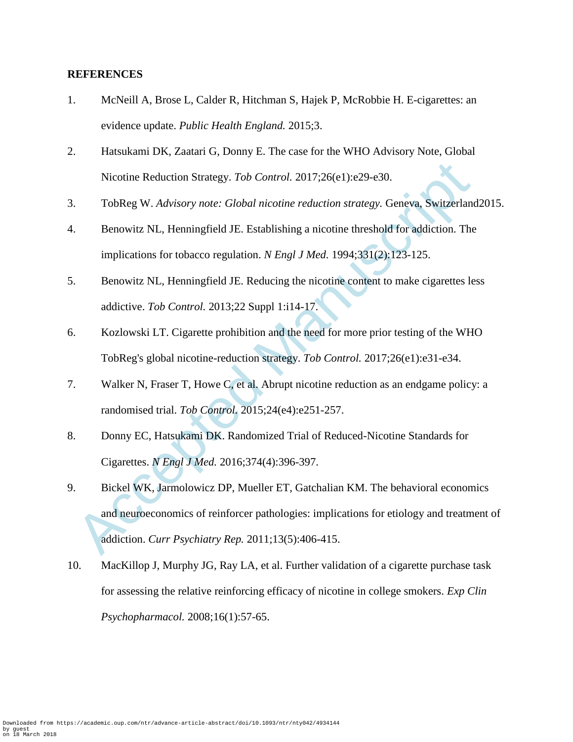### **REFERENCES**

- 1. McNeill A, Brose L, Calder R, Hitchman S, Hajek P, McRobbie H. E-cigarettes: an evidence update. *Public Health England.* 2015;3.
- 2. Hatsukami DK, Zaatari G, Donny E. The case for the WHO Advisory Note, Global Nicotine Reduction Strategy. *Tob Control.* 2017;26(e1):e29-e30.
- 3. TobReg W. *Advisory note: Global nicotine reduction strategy.* Geneva, Switzerland2015.
- 4. Benowitz NL, Henningfield JE. Establishing a nicotine threshold for addiction. The implications for tobacco regulation. *N Engl J Med.* 1994;331(2):123-125.
- 5. Benowitz NL, Henningfield JE. Reducing the nicotine content to make cigarettes less addictive. *Tob Control.* 2013;22 Suppl 1:i14-17.
- 6. Kozlowski LT. Cigarette prohibition and the need for more prior testing of the WHO TobReg's global nicotine-reduction strategy. *Tob Control.* 2017;26(e1):e31-e34.
- 7. Walker N, Fraser T, Howe C, et al. Abrupt nicotine reduction as an endgame policy: a randomised trial. *Tob Control.* 2015;24(e4):e251-257.
- 8. Donny EC, Hatsukami DK. Randomized Trial of Reduced-Nicotine Standards for Cigarettes. *N Engl J Med.* 2016;374(4):396-397.
- Nicotine Reduction Strategy. *Tob Control.* 2017;26(e1):e29-e30.<br>
TobReg W. Advisory note: *Global nicotine reduction strategy*. Geneva, Switzerland<br>
Benowitz NL, Henningfield JE. Establishing a nicotine threshold for addi 9. Bickel WK, Jarmolowicz DP, Mueller ET, Gatchalian KM. The behavioral economics and neuroeconomics of reinforcer pathologies: implications for etiology and treatment of addiction. *Curr Psychiatry Rep.* 2011;13(5):406-415.
- 10. MacKillop J, Murphy JG, Ray LA, et al. Further validation of a cigarette purchase task for assessing the relative reinforcing efficacy of nicotine in college smokers. *Exp Clin Psychopharmacol.* 2008;16(1):57-65.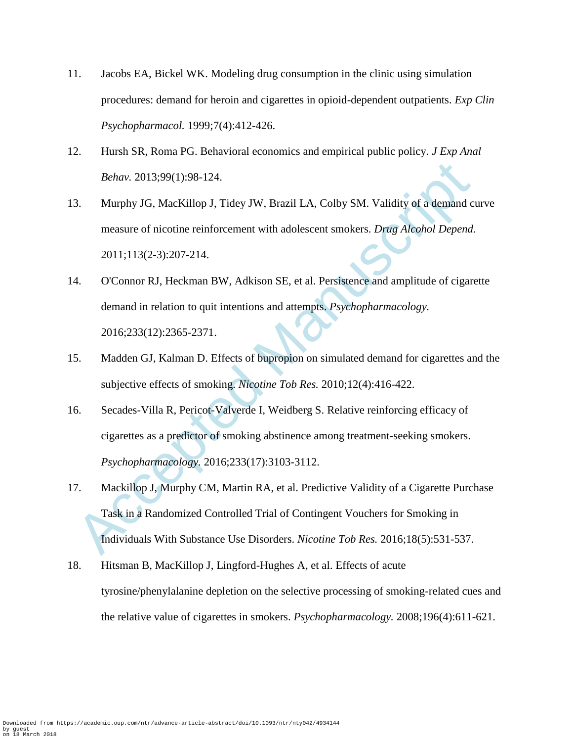- 11. Jacobs EA, Bickel WK. Modeling drug consumption in the clinic using simulation procedures: demand for heroin and cigarettes in opioid-dependent outpatients. *Exp Clin Psychopharmacol.* 1999;7(4):412-426.
- 12. Hursh SR, Roma PG. Behavioral economics and empirical public policy. *J Exp Anal Behav.* 2013;99(1):98-124.
- 13. Murphy JG, MacKillop J, Tidey JW, Brazil LA, Colby SM. Validity of a demand curve measure of nicotine reinforcement with adolescent smokers. *Drug Alcohol Depend.*  2011;113(2-3):207-214.
- 14. O'Connor RJ, Heckman BW, Adkison SE, et al. Persistence and amplitude of cigarette demand in relation to quit intentions and attempts. *Psychopharmacology.*  2016;233(12):2365-2371.
- 15. Madden GJ, Kalman D. Effects of bupropion on simulated demand for cigarettes and the subjective effects of smoking. *Nicotine Tob Res.* 2010;12(4):416-422.
- 16. Secades-Villa R, Pericot-Valverde I, Weidberg S. Relative reinforcing efficacy of cigarettes as a predictor of smoking abstinence among treatment-seeking smokers. *Psychopharmacology.* 2016;233(17):3103-3112.
- Behav. 2013;99(1):98-124.<br>
Murphy JG, MacKillop J, Tidey JW, Brazil LA, Colby SM. Validity of a demand ct<br>
measure of nicotine reinforcement with adolescent smokers. *Drug Alcohol Depend.*<br>
2011;113(2-3):207-214.<br>
ACConnor 17. Mackillop J, Murphy CM, Martin RA, et al. Predictive Validity of a Cigarette Purchase Task in a Randomized Controlled Trial of Contingent Vouchers for Smoking in Individuals With Substance Use Disorders. *Nicotine Tob Res.* 2016;18(5):531-537.
- 18. Hitsman B, MacKillop J, Lingford-Hughes A, et al. Effects of acute tyrosine/phenylalanine depletion on the selective processing of smoking-related cues and the relative value of cigarettes in smokers. *Psychopharmacology.* 2008;196(4):611-621.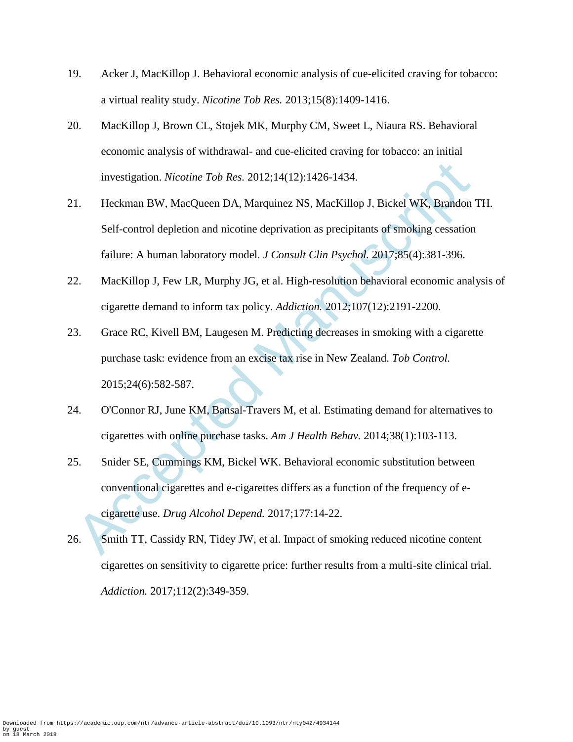- 19. Acker J, MacKillop J. Behavioral economic analysis of cue-elicited craving for tobacco: a virtual reality study. *Nicotine Tob Res.* 2013;15(8):1409-1416.
- 20. MacKillop J, Brown CL, Stojek MK, Murphy CM, Sweet L, Niaura RS. Behavioral economic analysis of withdrawal- and cue-elicited craving for tobacco: an initial investigation. *Nicotine Tob Res.* 2012;14(12):1426-1434.
- investigation. *Nicotine Tob Res.* 2012;14(12):1426-1434.<br>
1. Heckman BW, MacQueen DA, Marquinez NS, MacKillop J, Bickel WK, Brandon<br>
2. Self-control depletion and nicotine deprivation as precipitants of smoking cessation<br> 21. Heckman BW, MacQueen DA, Marquinez NS, MacKillop J, Bickel WK, Brandon TH. Self-control depletion and nicotine deprivation as precipitants of smoking cessation failure: A human laboratory model. *J Consult Clin Psychol.* 2017;85(4):381-396.
- 22. MacKillop J, Few LR, Murphy JG, et al. High-resolution behavioral economic analysis of cigarette demand to inform tax policy. *Addiction.* 2012;107(12):2191-2200.
- 23. Grace RC, Kivell BM, Laugesen M. Predicting decreases in smoking with a cigarette purchase task: evidence from an excise tax rise in New Zealand. *Tob Control.*  2015;24(6):582-587.
- 24. O'Connor RJ, June KM, Bansal-Travers M, et al. Estimating demand for alternatives to cigarettes with online purchase tasks. *Am J Health Behav.* 2014;38(1):103-113.
- 25. Snider SE, Cummings KM, Bickel WK. Behavioral economic substitution between conventional cigarettes and e-cigarettes differs as a function of the frequency of ecigarette use. *Drug Alcohol Depend.* 2017;177:14-22.
- 26. Smith TT, Cassidy RN, Tidey JW, et al. Impact of smoking reduced nicotine content cigarettes on sensitivity to cigarette price: further results from a multi-site clinical trial. *Addiction.* 2017;112(2):349-359.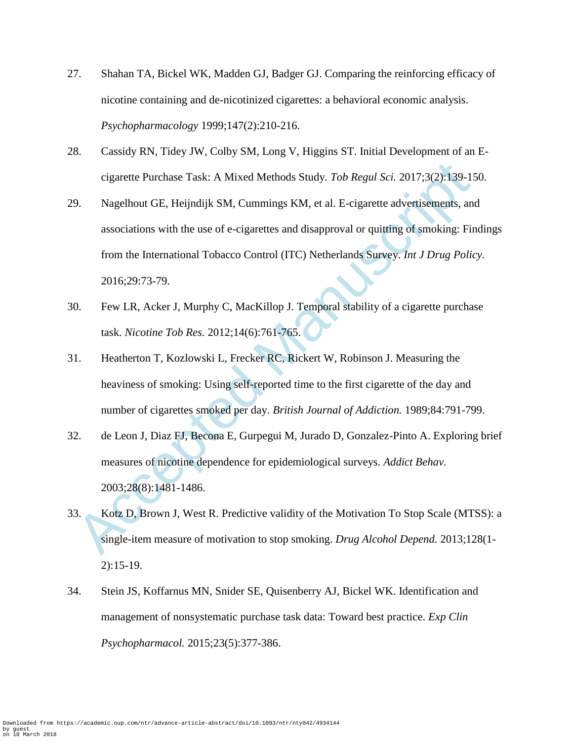- 27. Shahan TA, Bickel WK, Madden GJ, Badger GJ. Comparing the reinforcing efficacy of nicotine containing and de-nicotinized cigarettes: a behavioral economic analysis. *Psychopharmacology* 1999;147(2):210-216.
- 28. Cassidy RN, Tidey JW, Colby SM, Long V, Higgins ST. Initial Development of an Ecigarette Purchase Task: A Mixed Methods Study. *Tob Regul Sci.* 2017;3(2):139-150.
- eigarette Purchase Task: A Mixed Methods Study. *Tob Regul Sci.* 2017;3(2):139-15<br>
9. Nagelhout GE, Heijndijk SM, Cummings KM, et al. E-cigarette advertisements, and<br>
associations with the use of e-cigarettes and disappro 29. Nagelhout GE, Heijndijk SM, Cummings KM, et al. E-cigarette advertisements, and associations with the use of e-cigarettes and disapproval or quitting of smoking: Findings from the International Tobacco Control (ITC) Netherlands Survey. *Int J Drug Policy.*  2016;29:73-79.
- 30. Few LR, Acker J, Murphy C, MacKillop J. Temporal stability of a cigarette purchase task. *Nicotine Tob Res.* 2012;14(6):761-765.
- 31. Heatherton T, Kozlowski L, Frecker RC, Rickert W, Robinson J. Measuring the heaviness of smoking: Using self-reported time to the first cigarette of the day and number of cigarettes smoked per day. *British Journal of Addiction.* 1989;84:791-799.
- 32. de Leon J, Diaz FJ, Becona E, Gurpegui M, Jurado D, Gonzalez-Pinto A. Exploring brief measures of nicotine dependence for epidemiological surveys. *Addict Behav.*  2003;28(8):1481-1486.
- 33. Kotz D, Brown J, West R. Predictive validity of the Motivation To Stop Scale (MTSS): a single-item measure of motivation to stop smoking. *Drug Alcohol Depend.* 2013;128(1- 2):15-19.
- 34. Stein JS, Koffarnus MN, Snider SE, Quisenberry AJ, Bickel WK. Identification and management of nonsystematic purchase task data: Toward best practice. *Exp Clin Psychopharmacol.* 2015;23(5):377-386.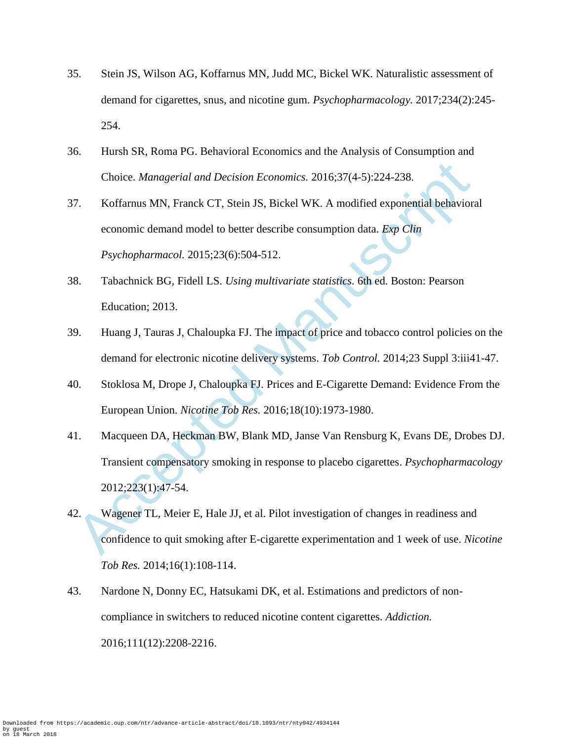- 35. Stein JS, Wilson AG, Koffarnus MN, Judd MC, Bickel WK. Naturalistic assessment of demand for cigarettes, snus, and nicotine gum. *Psychopharmacology.* 2017;234(2):245- 254.
- 36. Hursh SR, Roma PG. Behavioral Economics and the Analysis of Consumption and Choice. *Managerial and Decision Economics.* 2016;37(4-5):224-238.
- Choice. *Managerial and Decision Economics*. 2016;37(4-5):224-238.<br>
Koffarnus MN, Franck CT, Stein JS, Bickel WK. A modified exponential behaviors<br>
economic demand model to better describe consumption data. *Exp Clin*<br> *Ps* 37. Koffarnus MN, Franck CT, Stein JS, Bickel WK. A modified exponential behavioral economic demand model to better describe consumption data. *Exp Clin Psychopharmacol.* 2015;23(6):504-512.
- 38. Tabachnick BG, Fidell LS. *Using multivariate statistics.* 6th ed. Boston: Pearson Education; 2013.
- 39. Huang J, Tauras J, Chaloupka FJ. The impact of price and tobacco control policies on the demand for electronic nicotine delivery systems. *Tob Control.* 2014;23 Suppl 3:iii41-47.
- 40. Stoklosa M, Drope J, Chaloupka FJ. Prices and E-Cigarette Demand: Evidence From the European Union. *Nicotine Tob Res.* 2016;18(10):1973-1980.
- 41. Macqueen DA, Heckman BW, Blank MD, Janse Van Rensburg K, Evans DE, Drobes DJ. Transient compensatory smoking in response to placebo cigarettes. *Psychopharmacology*  2012;223(1):47-54.
- 42. Wagener TL, Meier E, Hale JJ, et al. Pilot investigation of changes in readiness and confidence to quit smoking after E-cigarette experimentation and 1 week of use. *Nicotine Tob Res.* 2014;16(1):108-114.
- 43. Nardone N, Donny EC, Hatsukami DK, et al. Estimations and predictors of noncompliance in switchers to reduced nicotine content cigarettes. *Addiction.*  2016;111(12):2208-2216.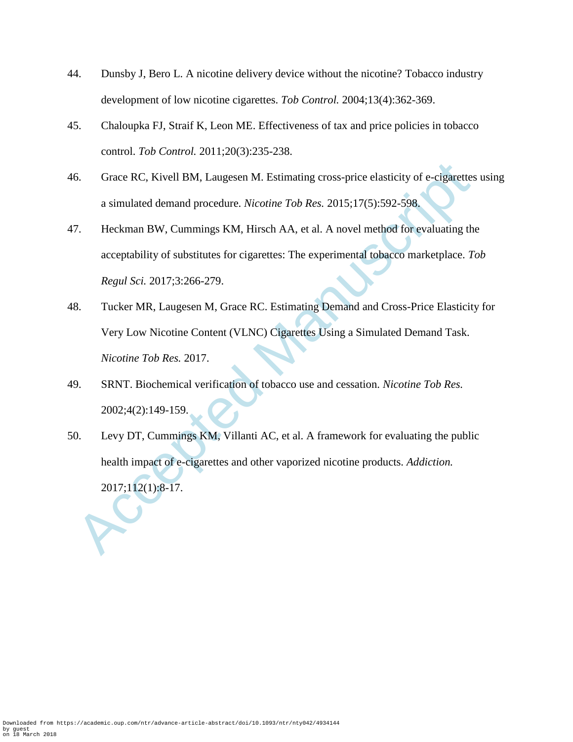- 44. Dunsby J, Bero L. A nicotine delivery device without the nicotine? Tobacco industry development of low nicotine cigarettes. *Tob Control.* 2004;13(4):362-369.
- 45. Chaloupka FJ, Straif K, Leon ME. Effectiveness of tax and price policies in tobacco control. *Tob Control.* 2011;20(3):235-238.
- 46. Grace RC, Kivell BM, Laugesen M. Estimating cross-price elasticity of e-cigarettes using a simulated demand procedure. *Nicotine Tob Res.* 2015;17(5):592-598.
- 6. Grace RC, Kivell BM, Laugesen M. Estimating cross-price elasticity of e-cigarettes a simulated demand procedure. *Nicotine Tob Res.* 2015;17(5):592-598.<br>
Heckman BW, Cummings KM, Hirsch AA, et al. A novel method for ev 47. Heckman BW, Cummings KM, Hirsch AA, et al. A novel method for evaluating the acceptability of substitutes for cigarettes: The experimental tobacco marketplace. *Tob Regul Sci.* 2017;3:266-279.
- 48. Tucker MR, Laugesen M, Grace RC. Estimating Demand and Cross-Price Elasticity for Very Low Nicotine Content (VLNC) Cigarettes Using a Simulated Demand Task. *Nicotine Tob Res.* 2017.
- 49. SRNT. Biochemical verification of tobacco use and cessation. *Nicotine Tob Res.*  2002;4(2):149-159.
- 50. Levy DT, Cummings KM, Villanti AC, et al. A framework for evaluating the public health impact of e-cigarettes and other vaporized nicotine products. *Addiction.*  2017;112(1):8-17.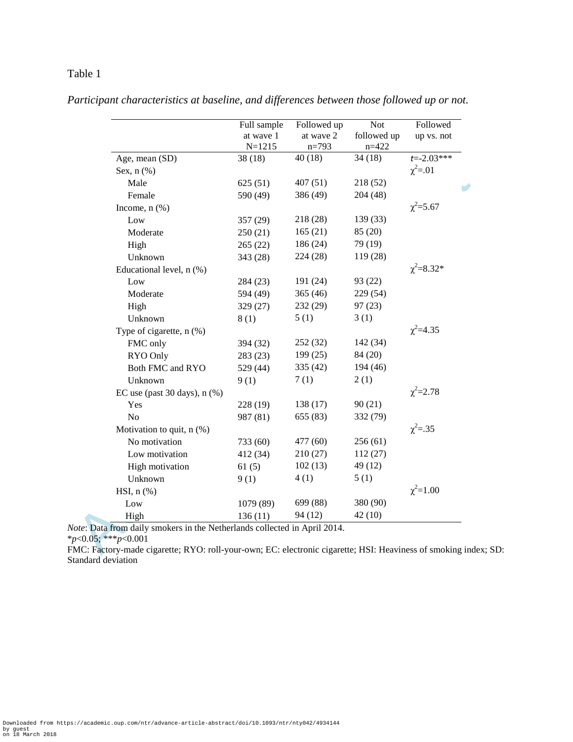|                                | Full sample<br>at wave 1<br>$N = 1215$ | Followed up<br>at wave 2<br>$n=793$ | <b>Not</b><br>followed up<br>$n = 422$ | Followed<br>up vs. not |
|--------------------------------|----------------------------------------|-------------------------------------|----------------------------------------|------------------------|
| Age, mean (SD)                 | 38(18)                                 | 40(18)                              | 34(18)                                 | $t = -2.03***$         |
| Sex, $n$ $(\%)$                |                                        |                                     |                                        | $\chi^2 = .01$         |
| Male                           | 625(51)                                | 407(51)                             | 218 (52)                               |                        |
| Female                         | 590 (49)                               | 386 (49)                            | 204 (48)                               |                        |
| Income, $n$ $(\%)$             |                                        |                                     |                                        | $\chi^2 = 5.67$        |
| Low                            | 357 (29)                               | 218 (28)                            | 139 (33)                               |                        |
| Moderate                       | 250(21)                                | 165(21)                             | 85 (20)                                |                        |
| High                           | 265(22)                                | 186 (24)                            | 79 (19)                                |                        |
| Unknown                        | 343 (28)                               | 224 (28)                            | 119 (28)                               |                        |
| Educational level, n (%)       |                                        |                                     |                                        | $\chi^2 = 8.32^*$      |
| Low                            | 284 (23)                               | 191 (24)                            | 93 (22)                                |                        |
| Moderate                       | 594 (49)                               | 365(46)                             | 229 (54)                               |                        |
| High                           | 329 (27)                               | 232 (29)                            | 97(23)                                 |                        |
| Unknown                        | 8(1)                                   | 5(1)                                | 3(1)                                   |                        |
| Type of cigarette, n (%)       |                                        |                                     |                                        | $\chi^2$ =4.35         |
| FMC only                       | 394 (32)                               | 252 (32)                            | 142 (34)                               |                        |
| RYO Only                       | 283 (23)                               | 199(25)                             | 84 (20)                                |                        |
| Both FMC and RYO               | 529 (44)                               | 335 (42)                            | 194 (46)                               |                        |
| Unknown                        | 9(1)                                   | 7(1)                                | 2(1)                                   |                        |
| EC use (past 30 days), $n$ (%) |                                        |                                     |                                        | $\chi^2 = 2.78$        |
| Yes                            | 228 (19)                               | 138 (17)                            | 90(21)                                 |                        |
| No                             | 987 (81)                               | 655 (83)                            | 332 (79)                               |                        |
| Motivation to quit, n (%)      |                                        |                                     |                                        | $\chi^2 = .35$         |
| No motivation                  | 733 (60)                               | 477 (60)                            | 256(61)                                |                        |
| Low motivation                 | 412 (34)                               | 210 (27)                            | 112(27)                                |                        |
| High motivation                | 61(5)                                  | 102(13)                             | 49 (12)                                |                        |
| Unknown                        | 9(1)                                   | 4(1)                                | 5(1)                                   |                        |
| HSI, $n$ $%$                   |                                        |                                     |                                        | $\chi^2 = 1.00$        |
| Low                            | 1079 (89)                              | 699 (88)                            | 380 (90)                               |                        |
| High                           | 136(11)                                | 94 (12)                             | 42(10)                                 |                        |

*Participant characteristics at baseline, and differences between those followed up or not.*

FMC: Factory-made cigarette; RYO: roll-your-own; EC: electronic cigarette; HSI: Heaviness of smoking index; SD: Standard deviation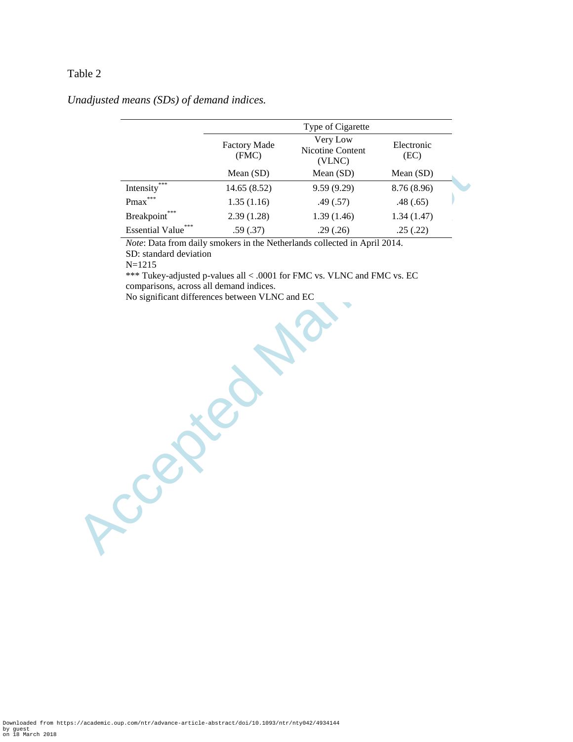### *Unadjusted means (SDs) of demand indices.*

|                                                                                                         |                              | Type of Cigarette                                                       |                    |  |
|---------------------------------------------------------------------------------------------------------|------------------------------|-------------------------------------------------------------------------|--------------------|--|
|                                                                                                         | <b>Factory Made</b><br>(FMC) | Very Low<br>Nicotine Content<br>(VLNC)                                  | Electronic<br>(EC) |  |
|                                                                                                         | Mean (SD)                    | Mean (SD)                                                               | Mean (SD)          |  |
| Intensity <sup>***</sup>                                                                                | 14.65 (8.52)                 | 9.59 (9.29)                                                             | 8.76 (8.96)        |  |
| $\mathrm{Pmax}^{***}$                                                                                   | 1.35(1.16)                   | .49(.57)                                                                | .48(.65)           |  |
| Breakpoint***                                                                                           | 2.39(1.28)                   | 1.39(1.46)                                                              | 1.34(1.47)         |  |
| Essential Value**                                                                                       | .59(.37)                     | .29(.26)                                                                | .25(.22)           |  |
| $N = 1215$<br>comparisons, across all demand indices.<br>No significant differences between VLNC and EC |                              | *** Tukey-adjusted p-values all < .0001 for FMC vs. VLNC and FMC vs. EC |                    |  |
|                                                                                                         |                              |                                                                         |                    |  |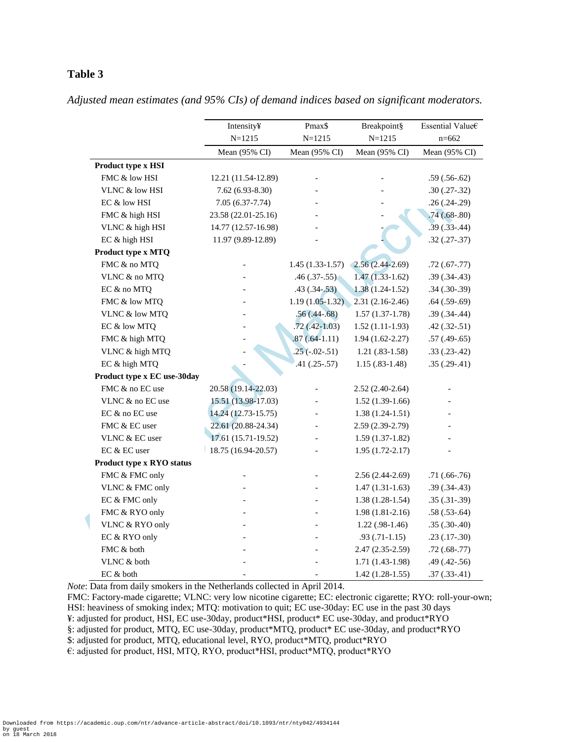|                             | Intensity¥          | Pmax\$            | Breakpoint§         | Essential Value€  |  |
|-----------------------------|---------------------|-------------------|---------------------|-------------------|--|
|                             | $N = 1215$          | $N = 1215$        | $N = 1215$          | $n = 662$         |  |
|                             | Mean (95% CI)       | Mean (95% CI)     | Mean (95% CI)       | Mean (95% CI)     |  |
| Product type x HSI          |                     |                   |                     |                   |  |
| FMC & low HSI               | 12.21 (11.54-12.89) |                   |                     | $.59(.56-.62)$    |  |
| VLNC & low HSI              | $7.62(6.93-8.30)$   |                   |                     | $.30(.27-.32)$    |  |
| EC & low HSI                | $7.05(6.37-7.74)$   |                   |                     | $.26(.24-.29)$    |  |
| FMC & high HSI              | 23.58 (22.01-25.16) |                   |                     | $.74(.68-.80)$    |  |
| VLNC & high HSI             | 14.77 (12.57-16.98) |                   |                     | $.39(.33-.44)$    |  |
| EC & high HSI               | 11.97 (9.89-12.89)  |                   |                     | $.32(.27-.37)$    |  |
| Product type x MTQ          |                     |                   |                     |                   |  |
| FMC & no MTQ                |                     | $1.45(1.33-1.57)$ | $(2.56(2.44-2.69))$ | $.72(.67-.77)$    |  |
| VLNC & no MTQ               |                     | $.46(.37-.55)$    | $1.47(1.33-1.62)$   | $.39(.34-.43)$    |  |
| EC & no MTQ                 |                     | $.43(.34-.53)$    | $1.38(1.24-1.52)$   | $.34(.30-.39)$    |  |
| FMC & low MTQ               |                     | $1.19(1.05-1.32)$ | $2.31(2.16-2.46)$   | $.64(.59-.69)$    |  |
| VLNC & low MTQ              |                     | $.56(.44-.68)$    | $1.57(1.37-1.78)$   | $.39(.34-.44)$    |  |
| EC & low MTQ                |                     | $.72(.42-1.03)$   | $1.52(1.11-1.93)$   | $.42$ $(.32-.51)$ |  |
| FMC & high MTQ              |                     | $.87(.64-1.11)$   | $1.94(1.62 - 2.27)$ | $.57(.49-.65)$    |  |
| VLNC & high MTQ             |                     | $.25(-.02-.51)$   | $1.21(.83-1.58)$    | $.33(.23-.42)$    |  |
| EC & high MTQ               |                     | $.41(.25-.57)$    | $1.15(.83-1.48)$    | $.35(.29-.41)$    |  |
| Product type x EC use-30day |                     |                   |                     |                   |  |
| FMC & no EC use             | 20.58 (19.14-22.03) |                   | $2.52(2.40-2.64)$   |                   |  |
| VLNC & no EC use            | 15.51 (13.98-17.03) |                   | $1.52(1.39-1.66)$   |                   |  |
| EC & no EC use              | 14.24 (12.73-15.75) |                   | $1.38(1.24-1.51)$   |                   |  |
| FMC & EC user               | 22.61 (20.88-24.34) |                   | 2.59 (2.39-2.79)    |                   |  |
| VLNC & EC user              | 17.61 (15.71-19.52) |                   | $1.59(1.37-1.82)$   |                   |  |
| EC & EC user                | 18.75 (16.94-20.57) |                   | $1.95(1.72-2.17)$   |                   |  |
| Product type x RYO status   |                     |                   |                     |                   |  |
| FMC & FMC only              |                     |                   | $2.56(2.44-2.69)$   | $.71(.66-.76)$    |  |
| VLNC & FMC only             |                     |                   | $1.47(1.31-1.63)$   | $.39(.34-.43)$    |  |
| EC & FMC only               |                     | $\overline{a}$    | $1.38(1.28-1.54)$   | $.35(.31-.39)$    |  |
| FMC & RYO only              |                     | $\overline{a}$    | $1.98(1.81-2.16)$   | $.58(.53-.64)$    |  |
| VLNC & RYO only             |                     |                   | $1.22(.98-1.46)$    | $.35(.30-.40)$    |  |
| EC & RYO only               |                     |                   | $.93(.71-1.15)$     | $.23(.17-.30)$    |  |
| FMC & both                  |                     |                   | $2.47(2.35-2.59)$   | $.72(.68-.77)$    |  |
| VLNC & both                 |                     |                   | $1.71(1.43-1.98)$   | $.49(.42-.56)$    |  |
| EC & both                   |                     |                   | $1.42(1.28-1.55)$   | $.37(.33-.41)$    |  |

*Adjusted mean estimates (and 95% CIs) of demand indices based on significant moderators.*

*Note*: Data from daily smokers in the Netherlands collected in April 2014.

FMC: Factory-made cigarette; VLNC: very low nicotine cigarette; EC: electronic cigarette; RYO: roll-your-own; HSI: heaviness of smoking index; MTQ: motivation to quit; EC use-30day: EC use in the past 30 days ¥: adjusted for product, HSI, EC use-30day, product\*HSI, product\* EC use-30day, and product\*RYO §: adjusted for product, MTQ, EC use-30day, product\*MTQ, product\* EC use-30day, and product\*RYO \$: adjusted for product, MTQ, educational level, RYO, product\*MTQ, product\*RYO

€: adjusted for product, HSI, MTQ, RYO, product\*HSI, product\*MTQ, product\*RYO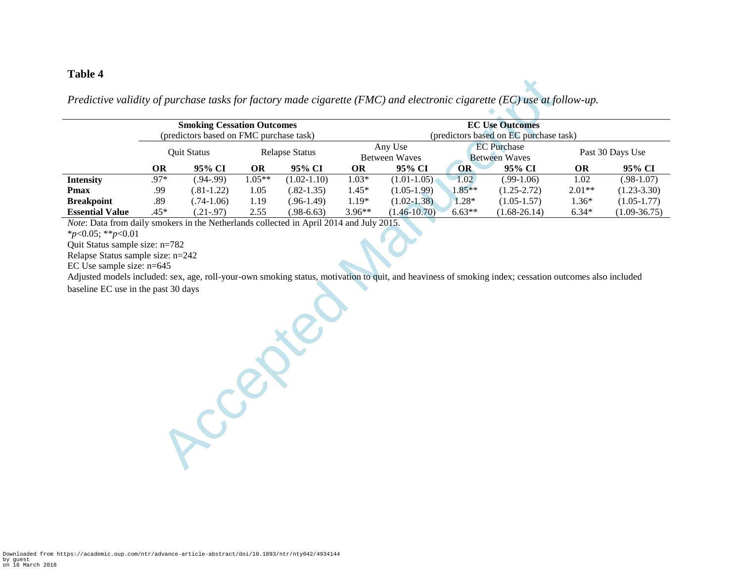*Predictive validity of purchase tasks for factory made cigarette (FMC) and electronic cigarette (EC) use at follow-up.*

|                        | <b>Smoking Cessation Outcomes</b>       |                 |                       | <b>EC Use Outcomes</b>                 |                          |                  |                                            |                  |                  |                  |
|------------------------|-----------------------------------------|-----------------|-----------------------|----------------------------------------|--------------------------|------------------|--------------------------------------------|------------------|------------------|------------------|
|                        | (predictors based on FMC purchase task) |                 |                       | (predictors based on EC purchase task) |                          |                  |                                            |                  |                  |                  |
|                        | <b>Ouit Status</b>                      |                 | <b>Relapse Status</b> |                                        | Any Use<br>Between Waves |                  | <b>EC</b> Purchase<br><b>Between Waves</b> |                  | Past 30 Days Use |                  |
|                        | ОR                                      | 95% CI          | <b>OR</b>             | 95% CI                                 | OR                       | 95% CI           | <b>OR</b>                                  | 95% CI           | <b>OR</b>        | 95% CI           |
| <b>Intensity</b>       | .97*                                    | $(.94-.99)$     | $1.05**$              | $(1.02 - 1.10)$                        | $1.03*$                  | $(1.01-1.05)$    | $-1.02$                                    | $(.99-1.06)$     | 1.02             | $(.98-1.07)$     |
| Pmax                   | .99                                     | $(.81-1.22)$    | 1.05                  | $(.82-1.35)$                           | $1.45*$                  | $(1.05-1.99)$    | $1.85**$                                   | $(1.25 - 2.72)$  | $2.01**$         | $(1.23 - 3.30)$  |
| <b>Breakpoint</b>      | .89                                     | $(.74-1.06)$    | 1.19                  | $(.96-1.49)$                           | $1.19*$                  | $(1.02 - 1.38)$  | $1.28*$                                    | $(1.05-1.57)$    | $1.36*$          | $(1.05 - 1.77)$  |
| <b>Essential Value</b> | .45*                                    | $(0.21 - 0.97)$ | 2.55                  | $(.98-6.63)$                           | $3.96**$                 | $(1.46 - 10.70)$ | $6.63**$                                   | $(1.68 - 26.14)$ | $6.34*$          | $(1.09 - 36.75)$ |

*Note*: Data from daily smokers in the Netherlands collected in April 2014 and July 2015.

\**p*<0.05; \*\**p*<0.01

Quit Status sample size: n=782

Relapse Status sample size: n=242

EC Use sample size: n=645

Accepter Manuscript Adjusted models included: sex, age, roll-your-own smoking status, motivation to quit, and heaviness of smoking index; cessation outcomes also included baseline EC use in the past 30 days